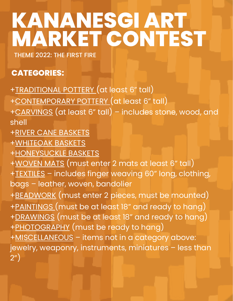# **KANANESGI ART MARKET CONTEST**

THEME 2022: THE FIRST FIRE

#### **CATEGORIES:**

- +TRADITIONAL POTTERY (at least 6" tall)
- +CONTEMPORARY POTTERY (at least 6" tall)
- +CARVINGS (at least 6" tall) includes stone, wood, and shell
- +RIVER CANE BASKETS
- +WHITEOAK BASKETS
- +HONEYSUCKLE BASKETS
- +WOVEN MATS (must enter 2 mats at least 6" tall)
- +TEXTILES includes finger weaving 60" long, clothing, bags – leather, woven, bandolier
- +BEADWORK (must enter 2 pieces, must be mounted)
- +PAINTINGS (must be at least 18" and ready to hang)
- +DRAWINGS (must be at least 18" and ready to hang)
- +PHOTOGRAPHY (must be ready to hang)
- +MISCELLANEOUS items not in a category above: jewelry, weaponry, instruments, miniatures – less than 2")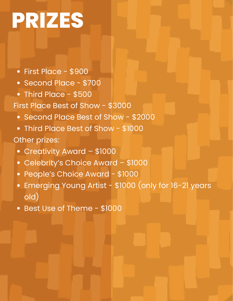# **PRIZES**

- First Place \$900
- Second Place \$700
- Third Place \$500
- First Place Best of Show \$3000
	- Second Place Best of Show \$2000
	- Third Place Best of Show \$1000

#### Other prizes:

- Creativity Award \$1000
- Celebrity's Choice Award \$1000
- People's Choice Award \$1000
- Emerging Young Artist \$1000 (only for 16-21 years old)
- Best Use of Theme \$1000